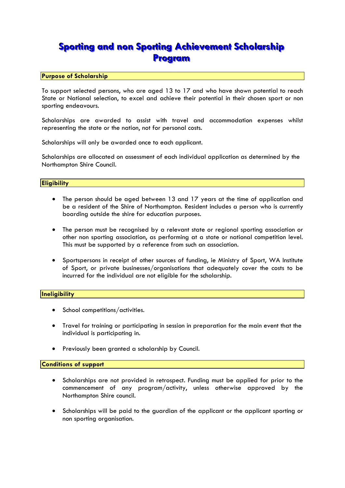# **Sporting and non Sporting Achievement Scholarship Program**

#### **Purpose of Scholarship**

To support selected persons, who are aged 13 to 17 and who have shown potential to reach State or National selection, to excel and achieve their potential in their chosen sport or non sporting endeavours.

Scholarships are awarded to assist with travel and accommodation expenses whilst representing the state or the nation, not for personal costs.

Scholarships will only be awarded once to each applicant.

Scholarships are allocated on assessment of each individual application as determined by the Northampton Shire Council.

#### **Eligibility**

- The person should be aged between 13 and 17 years at the time of application and be a resident of the Shire of Northampton. Resident includes a person who is currently boarding outside the shire for education purposes.
- The person must be recognised by a relevant state or regional sporting association or other non sporting association, as performing at a state or national competition level. This must be supported by a reference from such an association.
- Sportspersons in receipt of other sources of funding, ie Ministry of Sport, WA Institute of Sport, or private businesses/organisations that adequately cover the costs to be incurred for the individual are not eligible for the scholarship.

#### **Ineligibility**

- School competitions/activities.
- Travel for training or participating in session in preparation for the main event that the individual is participating in.
- Previously been granted a scholarship by Council.

#### **Conditions of support**

- Scholarships are not provided in retrospect. Funding must be applied for prior to the commencement of any program/activity, unless otherwise approved by the Northampton Shire council.
- Scholarships will be paid to the guardian of the applicant or the applicant sporting or non sporting organisation.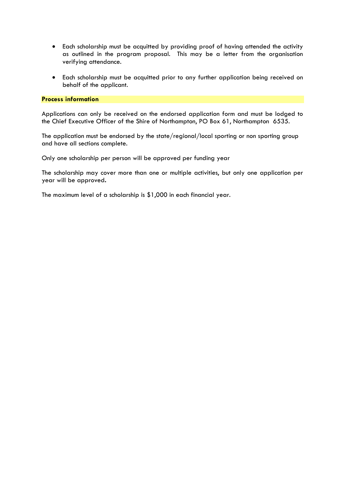- Each scholarship must be acquitted by providing proof of having attended the activity as outlined in the program proposal. This may be a letter from the organisation verifying attendance.
- Each scholarship must be acquitted prior to any further application being received on behalf of the applicant.

#### **Process information**

Applications can only be received on the endorsed application form and must be lodged to the Chief Executive Officer of the Shire of Northampton, PO Box 61, Northampton 6535.

The application must be endorsed by the state/regional/local sporting or non sporting group and have all sections complete.

Only one scholarship per person will be approved per funding year

The scholarship may cover more than one or multiple activities, but only one application per year will be approved**.**

The maximum level of a scholarship is \$1,000 in each financial year.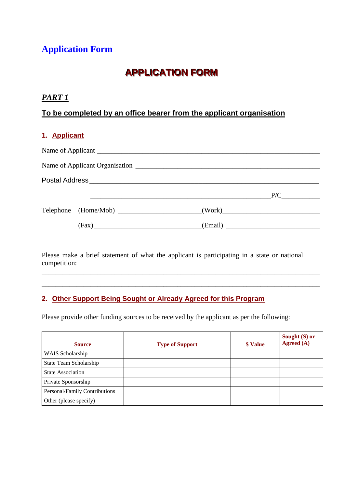# **Application Form**

# **APPLICATION FORM**

## *PART 1*

# **To be completed by an office bearer from the applicant organisation**

## **1. Applicant**

|                                                                                  | P/C |
|----------------------------------------------------------------------------------|-----|
| Telephone (Home/Mob) ________________________(Work)_____________________________ |     |
|                                                                                  |     |

Please make a brief statement of what the applicant is participating in a state or national competition:

\_\_\_\_\_\_\_\_\_\_\_\_\_\_\_\_\_\_\_\_\_\_\_\_\_\_\_\_\_\_\_\_\_\_\_\_\_\_\_\_\_\_\_\_\_\_\_\_\_\_\_\_\_\_\_\_\_\_\_\_\_\_\_\_\_\_\_\_\_\_\_\_\_\_\_\_\_\_\_\_ \_\_\_\_\_\_\_\_\_\_\_\_\_\_\_\_\_\_\_\_\_\_\_\_\_\_\_\_\_\_\_\_\_\_\_\_\_\_\_\_\_\_\_\_\_\_\_\_\_\_\_\_\_\_\_\_\_\_\_\_\_\_\_\_\_\_\_\_\_\_\_\_\_\_\_\_\_\_\_\_

## **2. Other Support Being Sought or Already Agreed for this Program**

Please provide other funding sources to be received by the applicant as per the following:

| <b>Source</b>                 | <b>Type of Support</b> | \$ Value | Sought (S) or<br>Agreed (A) |
|-------------------------------|------------------------|----------|-----------------------------|
| WAIS Scholarship              |                        |          |                             |
| State Team Scholarship        |                        |          |                             |
| <b>State Association</b>      |                        |          |                             |
| Private Sponsorship           |                        |          |                             |
| Personal/Family Contributions |                        |          |                             |
| Other (please specify)        |                        |          |                             |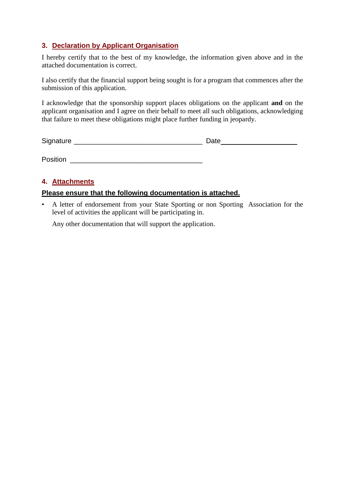## **3. Declaration by Applicant Organisation**

I hereby certify that to the best of my knowledge, the information given above and in the attached documentation is correct.

I also certify that the financial support being sought is for a program that commences after the submission of this application.

I acknowledge that the sponsorship support places obligations on the applicant **and** on the applicant organisation and I agree on their behalf to meet all such obligations, acknowledging that failure to meet these obligations might place further funding in jeopardy.

Signature \_\_\_\_\_\_\_\_\_\_\_\_\_\_\_\_\_\_\_\_\_\_\_\_\_\_\_\_\_\_\_\_\_ Date

Position \_\_\_\_\_\_\_\_\_\_\_\_\_\_\_\_\_\_\_\_\_\_\_\_\_\_\_\_\_\_\_\_\_\_

## **4. Attachments**

### **Please ensure that the following documentation is attached.**

• A letter of endorsement from your State Sporting or non Sporting Association for the level of activities the applicant will be participating in.

Any other documentation that will support the application.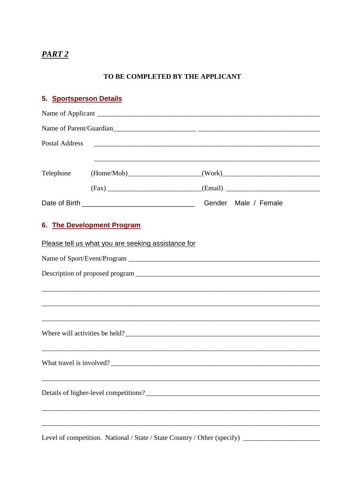# PART<sub>2</sub>

### TO BE COMPLETED BY THE APPLICANT

| 5. Sportsperson Details |                                                                                                           |                      |
|-------------------------|-----------------------------------------------------------------------------------------------------------|----------------------|
|                         |                                                                                                           |                      |
|                         | Name of Parent/Guardian                                                                                   |                      |
| <b>Postal Address</b>   |                                                                                                           |                      |
| Telephone               | ,我们也不会有什么。""我们的人,我们也不会有什么?""我们的人,我们也不会有什么?""我们的人,我们也不会有什么?""我们的人,我们也不会有什么?""我们的人<br>$(Home/Mob)$ $(Work)$ |                      |
|                         |                                                                                                           |                      |
|                         |                                                                                                           | Gender Male / Female |
|                         | 6. The Development Program                                                                                |                      |
|                         | Please tell us what you are seeking assistance for                                                        |                      |
|                         |                                                                                                           |                      |
|                         |                                                                                                           |                      |
|                         |                                                                                                           |                      |
|                         |                                                                                                           |                      |
|                         |                                                                                                           |                      |
|                         | What travel is involved?                                                                                  |                      |
|                         |                                                                                                           |                      |
|                         |                                                                                                           |                      |
|                         |                                                                                                           |                      |

Level of competition. National / State / State Country / Other (specify) \_\_\_\_\_\_\_\_\_\_\_\_\_\_\_\_\_\_\_\_\_\_\_\_\_\_\_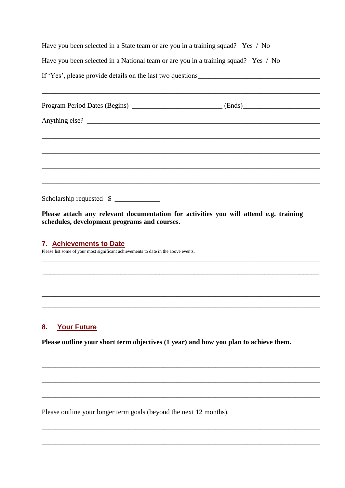Have you been selected in a State team or are you in a training squad? Yes / No Have you been selected in a National team or are you in a training squad? Yes / No If 'Yes', please provide details on the last two questions

| Anything else?           |  |
|--------------------------|--|
|                          |  |
|                          |  |
|                          |  |
|                          |  |
| Scholarship requested \$ |  |

Please attach any relevant documentation for activities you will attend e.g. training schedules, development programs and courses.

#### 7. Achievements to Date

Please list some of your most significant achievements to date in the above events.

#### $8.$ **Your Future**

Please outline your short term objectives (1 year) and how you plan to achieve them.

Please outline your longer term goals (beyond the next 12 months).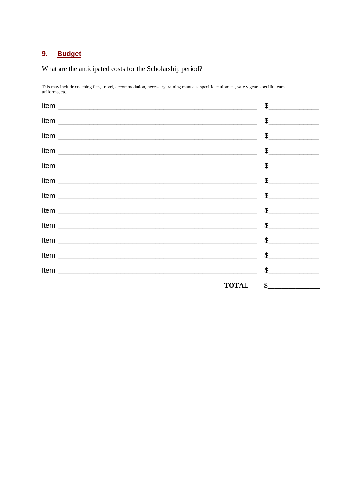#### 9. **Budget**

What are the anticipated costs for the Scholarship period?

This may include coaching fees, travel, accommodation, necessary training manuals, specific equipment, safety gear, specific team uniforms, etc.

| $\begin{picture}(20,20) \put(0,0){\line(1,0){100}} \put(15,0){\line(1,0){100}} \put(15,0){\line(1,0){100}} \put(15,0){\line(1,0){100}} \put(15,0){\line(1,0){100}} \put(15,0){\line(1,0){100}} \put(15,0){\line(1,0){100}} \put(15,0){\line(1,0){100}} \put(15,0){\line(1,0){100}} \put(15,0){\line(1,0){100}} \put(15,0){\line(1,0){100}} \$                       |
|---------------------------------------------------------------------------------------------------------------------------------------------------------------------------------------------------------------------------------------------------------------------------------------------------------------------------------------------------------------------|
| $\begin{picture}(20,20) \put(0,0){\line(1,0){100}} \put(15,0){\line(1,0){100}} \put(15,0){\line(1,0){100}} \put(15,0){\line(1,0){100}} \put(15,0){\line(1,0){100}} \put(15,0){\line(1,0){100}} \put(15,0){\line(1,0){100}} \put(15,0){\line(1,0){100}} \put(15,0){\line(1,0){100}} \put(15,0){\line(1,0){100}} \put(15,0){\line(1,0){100}} \$                       |
| $\begin{picture}(20,20) \put(0,0){\vector(1,0){100}} \put(15,0){\vector(1,0){100}} \put(15,0){\vector(1,0){100}} \put(15,0){\vector(1,0){100}} \put(15,0){\vector(1,0){100}} \put(15,0){\vector(1,0){100}} \put(15,0){\vector(1,0){100}} \put(15,0){\vector(1,0){100}} \put(15,0){\vector(1,0){100}} \put(15,0){\vector(1,0){100}} \put(15,0){\vector(1,0){100}} \$ |
| $\frac{1}{2}$                                                                                                                                                                                                                                                                                                                                                       |
| $\begin{picture}(20,10) \put(0,0){\vector(1,0){100}} \put(15,0){\vector(1,0){100}} \put(15,0){\vector(1,0){100}} \put(15,0){\vector(1,0){100}} \put(15,0){\vector(1,0){100}} \put(15,0){\vector(1,0){100}} \put(15,0){\vector(1,0){100}} \put(15,0){\vector(1,0){100}} \put(15,0){\vector(1,0){100}} \put(15,0){\vector(1,0){100}} \put(15,0){\vector(1,0){100}} \$ |
| $\begin{picture}(20,10) \put(0,0){\vector(1,0){100}} \put(15,0){\vector(1,0){100}} \put(15,0){\vector(1,0){100}} \put(15,0){\vector(1,0){100}} \put(15,0){\vector(1,0){100}} \put(15,0){\vector(1,0){100}} \put(15,0){\vector(1,0){100}} \put(15,0){\vector(1,0){100}} \put(15,0){\vector(1,0){100}} \put(15,0){\vector(1,0){100}} \put(15,0){\vector(1,0){100}} \$ |
| $\begin{picture}(20,20) \put(0,0){\vector(1,0){100}} \put(15,0){\vector(1,0){100}} \put(15,0){\vector(1,0){100}} \put(15,0){\vector(1,0){100}} \put(15,0){\vector(1,0){100}} \put(15,0){\vector(1,0){100}} \put(15,0){\vector(1,0){100}} \put(15,0){\vector(1,0){100}} \put(15,0){\vector(1,0){100}} \put(15,0){\vector(1,0){100}} \put(15,0){\vector(1,0){100}} \$ |
| $\begin{picture}(20,20) \put(0,0){\line(1,0){100}} \put(15,0){\line(1,0){100}} \put(15,0){\line(1,0){100}} \put(15,0){\line(1,0){100}} \put(15,0){\line(1,0){100}} \put(15,0){\line(1,0){100}} \put(15,0){\line(1,0){100}} \put(15,0){\line(1,0){100}} \put(15,0){\line(1,0){100}} \put(15,0){\line(1,0){100}} \put(15,0){\line(1,0){100}} \$                       |
| $\begin{picture}(20,10) \put(0,0){\vector(1,0){100}} \put(15,0){\vector(1,0){100}} \put(15,0){\vector(1,0){100}} \put(15,0){\vector(1,0){100}} \put(15,0){\vector(1,0){100}} \put(15,0){\vector(1,0){100}} \put(15,0){\vector(1,0){100}} \put(15,0){\vector(1,0){100}} \put(15,0){\vector(1,0){100}} \put(15,0){\vector(1,0){100}} \put(15,0){\vector(1,0){100}} \$ |
| $\begin{picture}(20,20) \put(0,0){\line(1,0){100}} \put(15,0){\line(1,0){100}} \put(15,0){\line(1,0){100}} \put(15,0){\line(1,0){100}} \put(15,0){\line(1,0){100}} \put(15,0){\line(1,0){100}} \put(15,0){\line(1,0){100}} \put(15,0){\line(1,0){100}} \put(15,0){\line(1,0){100}} \put(15,0){\line(1,0){100}} \put(15,0){\line(1,0){100}} \$                       |
| $\begin{picture}(20,10) \put(0,0){\vector(1,0){100}} \put(15,0){\vector(1,0){100}} \put(15,0){\vector(1,0){100}} \put(15,0){\vector(1,0){100}} \put(15,0){\vector(1,0){100}} \put(15,0){\vector(1,0){100}} \put(15,0){\vector(1,0){100}} \put(15,0){\vector(1,0){100}} \put(15,0){\vector(1,0){100}} \put(15,0){\vector(1,0){100}} \put(15,0){\vector(1,0){100}} \$ |
| $\begin{picture}(20,10) \put(0,0){\vector(1,0){100}} \put(15,0){\vector(1,0){100}} \put(15,0){\vector(1,0){100}} \put(15,0){\vector(1,0){100}} \put(15,0){\vector(1,0){100}} \put(15,0){\vector(1,0){100}} \put(15,0){\vector(1,0){100}} \put(15,0){\vector(1,0){100}} \put(15,0){\vector(1,0){100}} \put(15,0){\vector(1,0){100}} \put(15,0){\vector(1,0){100}} \$ |
| <b>TOTAL</b><br>$\frac{1}{2}$                                                                                                                                                                                                                                                                                                                                       |
|                                                                                                                                                                                                                                                                                                                                                                     |